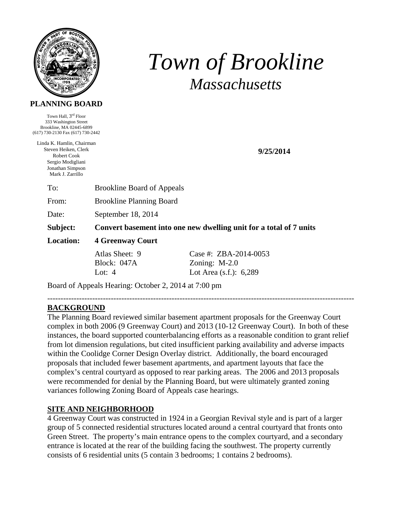

# *Town of Brookline Massachusetts*

#### **PLANNING BOARD**

Town Hall, 3<sup>rd</sup> Floor 333 Washington Street Brookline, MA 02445-6899 (617) 730-2130 Fax (617) 730-2442

Linda K. Hamlin, Chairman Steven Heiken, Clerk Robert Cook Sergio Modigliani Jonathan Simpson Mark J. Zarrillo

**9/25/2014** 

To: Brookline Board of Appeals

From: Brookline Planning Board

Date: September 18, 2014

**Subject: Convert basement into one new dwelling unit for a total of 7 units** 

**Location: 4 Greenway Court** 

Atlas Sheet: 9 Case #: ZBA-2014-0053 Block: 047A Zoning: M-2.0 Lot: 4 Lot Area (s.f.): 6,289

Board of Appeals Hearing: October 2, 2014 at 7:00 pm

#### -------------------------------------------------------------------------------------------------------------------- **BACKGROUND**

The Planning Board reviewed similar basement apartment proposals for the Greenway Court complex in both 2006 (9 Greenway Court) and 2013 (10-12 Greenway Court). In both of these instances, the board supported counterbalancing efforts as a reasonable condition to grant relief from lot dimension regulations, but cited insufficient parking availability and adverse impacts within the Coolidge Corner Design Overlay district. Additionally, the board encouraged proposals that included fewer basement apartments, and apartment layouts that face the complex's central courtyard as opposed to rear parking areas. The 2006 and 2013 proposals were recommended for denial by the Planning Board, but were ultimately granted zoning variances following Zoning Board of Appeals case hearings.

# **SITE AND NEIGHBORHOOD**

4 Greenway Court was constructed in 1924 in a Georgian Revival style and is part of a larger group of 5 connected residential structures located around a central courtyard that fronts onto Green Street. The property's main entrance opens to the complex courtyard, and a secondary entrance is located at the rear of the building facing the southwest. The property currently consists of 6 residential units (5 contain 3 bedrooms; 1 contains 2 bedrooms).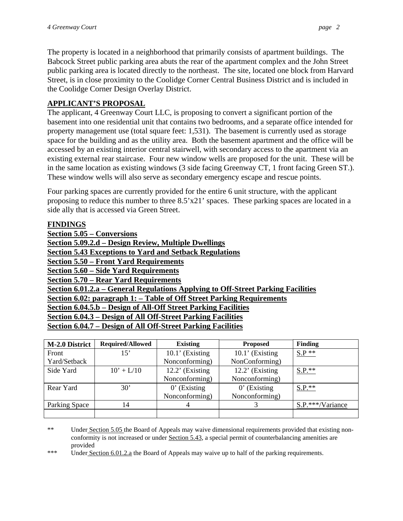The property is located in a neighborhood that primarily consists of apartment buildings. The Babcock Street public parking area abuts the rear of the apartment complex and the John Street public parking area is located directly to the northeast. The site, located one block from Harvard Street, is in close proximity to the Coolidge Corner Central Business District and is included in the Coolidge Corner Design Overlay District.

# **APPLICANT'S PROPOSAL**

The applicant, 4 Greenway Court LLC, is proposing to convert a significant portion of the basement into one residential unit that contains two bedrooms, and a separate office intended for property management use (total square feet: 1,531). The basement is currently used as storage space for the building and as the utility area. Both the basement apartment and the office will be accessed by an existing interior central stairwell, with secondary access to the apartment via an existing external rear staircase. Four new window wells are proposed for the unit. These will be in the same location as existing windows (3 side facing Greenway CT, 1 front facing Green ST.). These window wells will also serve as secondary emergency escape and rescue points.

Four parking spaces are currently provided for the entire 6 unit structure, with the applicant proposing to reduce this number to three 8.5'x21' spaces. These parking spaces are located in a side ally that is accessed via Green Street.

## **FINDINGS Section 5.05 – Conversions Section 5.09.2.d – Design Review, Multiple Dwellings Section 5.43 Exceptions to Yard and Setback Regulations Section 5.50 – Front Yard Requirements Section 5.60 – Side Yard Requirements Section 5.70 – Rear Yard Requirements Section 6.01.2.a – General Regulations Applying to Off-Street Parking Facilities Section 6.02: paragraph 1: – Table of Off Street Parking Requirements Section 6.04.5.b – Design of All-Off Street Parking Facilities Section 6.04.3 – Design of All Off-Street Parking Facilities Section 6.04.7 – Design of All Off-Street Parking Facilities**

| <b>M-2.0 District</b> | <b>Required/Allowed</b> | <b>Existing</b>    | <b>Proposed</b>   | Finding          |
|-----------------------|-------------------------|--------------------|-------------------|------------------|
| Front                 | 15'                     | $10.1'$ (Existing  | $10.1'$ (Existing | $S.P$ **         |
| Yard/Setback          |                         | Nonconforming)     | NonConforming)    |                  |
| Side Yard             | $10' + L/10$            | $12.2$ ' (Existing | $12.2'$ (Existing | $S.P.**$         |
|                       |                         | Nonconforming)     | Nonconforming)    |                  |
| Rear Yard             | 30'                     | $0'$ (Existing     | $0'$ (Existing    | $S.P.**$         |
|                       |                         | Nonconforming)     | Nonconforming)    |                  |
| Parking Space         | 14                      |                    |                   | S.P.***/Variance |
|                       |                         |                    |                   |                  |

I \*\* Under Section 5.05 the Board of Appeals may waive dimensional requirements provided that existing nonconformity is not increased or under Section 5.43, a special permit of counterbalancing amenities are provided

\*\*\* Under Section 6.01.2.a the Board of Appeals may waive up to half of the parking requirements.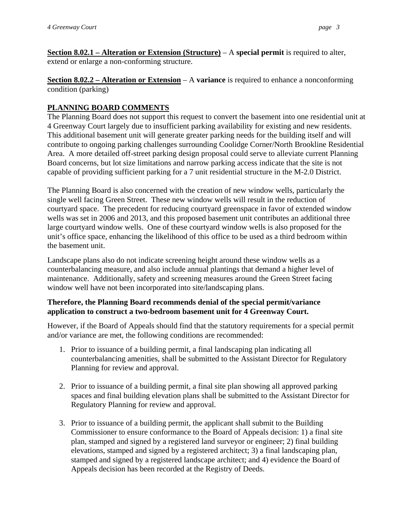**Section 8.02.1 – Alteration or Extension (Structure) – A special permit** is required to alter, extend or enlarge a non-conforming structure.

**Section 8.02.2 – Alteration or Extension** – A **variance** is required to enhance a nonconforming condition (parking)

## **PLANNING BOARD COMMENTS**

The Planning Board does not support this request to convert the basement into one residential unit at 4 Greenway Court largely due to insufficient parking availability for existing and new residents. This additional basement unit will generate greater parking needs for the building itself and will contribute to ongoing parking challenges surrounding Coolidge Corner/North Brookline Residential Area. A more detailed off-street parking design proposal could serve to alleviate current Planning Board concerns, but lot size limitations and narrow parking access indicate that the site is not capable of providing sufficient parking for a 7 unit residential structure in the M-2.0 District.

The Planning Board is also concerned with the creation of new window wells, particularly the single well facing Green Street. These new window wells will result in the reduction of courtyard space. The precedent for reducing courtyard greenspace in favor of extended window wells was set in 2006 and 2013, and this proposed basement unit contributes an additional three large courtyard window wells. One of these courtyard window wells is also proposed for the unit's office space, enhancing the likelihood of this office to be used as a third bedroom within the basement unit.

Landscape plans also do not indicate screening height around these window wells as a counterbalancing measure, and also include annual plantings that demand a higher level of maintenance. Additionally, safety and screening measures around the Green Street facing window well have not been incorporated into site/landscaping plans.

## **Therefore, the Planning Board recommends denial of the special permit/variance application to construct a two-bedroom basement unit for 4 Greenway Court.**

However, if the Board of Appeals should find that the statutory requirements for a special permit and/or variance are met, the following conditions are recommended:

- 1. Prior to issuance of a building permit, a final landscaping plan indicating all counterbalancing amenities, shall be submitted to the Assistant Director for Regulatory Planning for review and approval.
- 2. Prior to issuance of a building permit, a final site plan showing all approved parking spaces and final building elevation plans shall be submitted to the Assistant Director for Regulatory Planning for review and approval.
- 3. Prior to issuance of a building permit, the applicant shall submit to the Building Commissioner to ensure conformance to the Board of Appeals decision: 1) a final site plan, stamped and signed by a registered land surveyor or engineer; 2) final building elevations, stamped and signed by a registered architect; 3) a final landscaping plan, stamped and signed by a registered landscape architect; and 4) evidence the Board of Appeals decision has been recorded at the Registry of Deeds.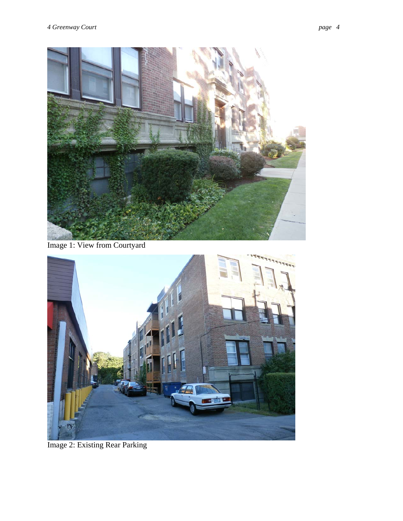

Image 1: View from Courtyard



Image 2: Existing Rear Parking